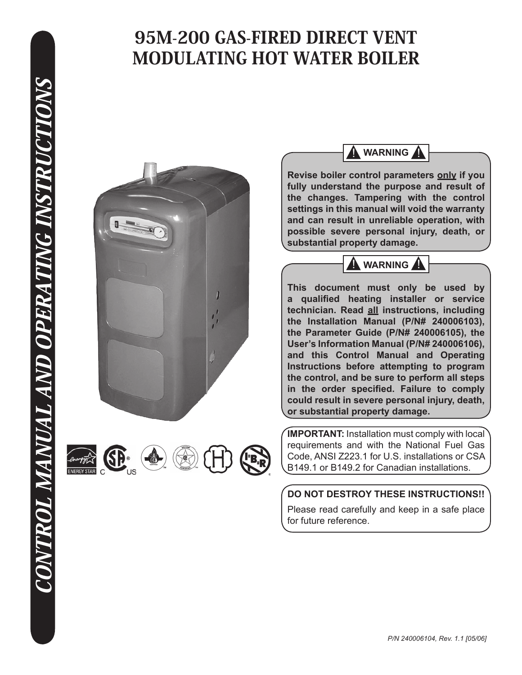





**WARNING** 

**Revise boiler control parameters only if you fully understand the purpose and result of the changes. Tampering with the control settings in this manual will void the warranty and can result in unreliable operation, with possible severe personal injury, death, or substantial property damage.**



**This document must only be used by a qualified heating installer or service technician. Read all instructions, including the Installation Manual (P/N# 240006103), the Parameter Guide (P/N# 240006105), the User's Information Manual (P/N# 240006106), and this Control Manual and Operating Instructions before attempting to program the control, and be sure to perform all steps in the order specified. Failure to comply could result in severe personal injury, death, or substantial property damage.**

**IMPORTANT:** Installation must comply with local requirements and with the National Fuel Gas Code, ANSI Z223.1 for U.S. installations or CSA B149.1 or B149.2 for Canadian installations.

# **DO NOT DESTROY THESE INSTRUCTIONS!!**

Please read carefully and keep in a safe place for future reference.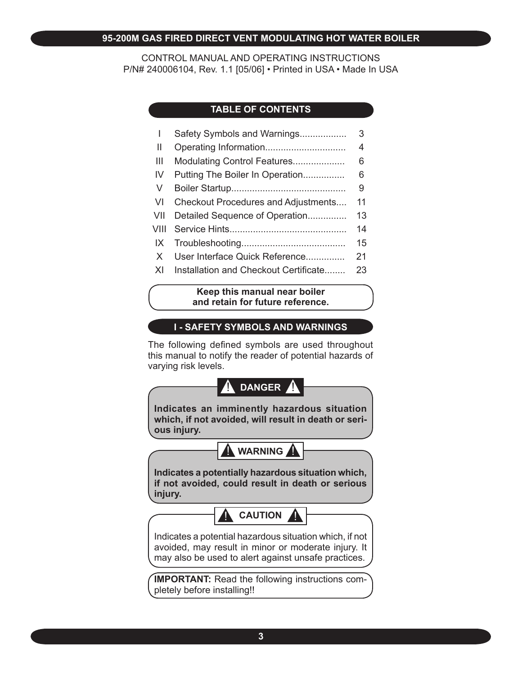#### **95-200M GAS FIRED DIRECT VENT MODULATING HOT WATER BOILER**

CONTROL MANUAL AND OPERATING INSTRUCTIONS P/N# 240006104, Rev. 1.1 [05/06] • Printed in USA • Made In USA

# **TABLE OF CONTENTS**

|                | Safety Symbols and Warnings           | 3  |
|----------------|---------------------------------------|----|
| Ш              |                                       | 4  |
| $\mathbf{III}$ | Modulating Control Features           | 6  |
| IV             | Putting The Boiler In Operation       | 6  |
| V              |                                       | 9  |
| <b>VI</b>      | Checkout Procedures and Adjustments   | 11 |
| VII            | Detailed Sequence of Operation        | 13 |
| VIII           |                                       | 14 |
| IX             |                                       | 15 |
| $\times$       | User Interface Quick Reference        | 21 |
| XI             | Installation and Checkout Certificate | 23 |

#### **Keep this manual near boiler and retain for future reference.**

# **I - SAFETY SYMBOLS AND WARNINGS**

The following defined symbols are used throughout this manual to notify the reader of potential hazards of varying risk levels.

# **A** DANGER A

**Indicates an imminently hazardous situation which, if not avoided, will result in death or serious injury.**



**Indicates a potentially hazardous situation which, if not avoided, could result in death or serious injury.**

**A** CAUTION

Indicates a potential hazardous situation which, if not avoided, may result in minor or moderate injury. It may also be used to alert against unsafe practices.

**IMPORTANT:** Read the following instructions completely before installing!!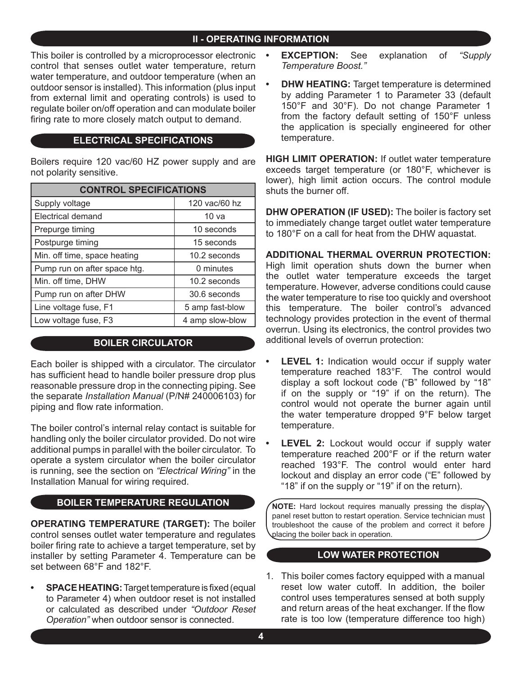# **II - OPERATING INFORMATION**

This boiler is controlled by a microprocessor electronic **•** control that senses outlet water temperature, return water temperature, and outdoor temperature (when an outdoor sensor is installed). This information (plus input from external limit and operating controls) is used to regulate boiler on/off operation and can modulate boiler firing rate to more closely match output to demand.

#### **ELECTRICAL SPECIFICATIONS**

Boilers require 120 vac/60 HZ power supply and are not polarity sensitive.

| <b>CONTROL SPECIFICATIONS</b> |                  |  |  |  |  |  |
|-------------------------------|------------------|--|--|--|--|--|
| Supply voltage                | 120 vac/60 hz    |  |  |  |  |  |
| <b>Electrical demand</b>      | 10 <sub>va</sub> |  |  |  |  |  |
| Prepurge timing               | 10 seconds       |  |  |  |  |  |
| Postpurge timing              | 15 seconds       |  |  |  |  |  |
| Min. off time, space heating  | 10.2 seconds     |  |  |  |  |  |
| Pump run on after space htg.  | 0 minutes        |  |  |  |  |  |
| Min. off time, DHW            | 10.2 seconds     |  |  |  |  |  |
| Pump run on after DHW         | 30.6 seconds     |  |  |  |  |  |
| Line voltage fuse, F1         | 5 amp fast-blow  |  |  |  |  |  |
| Low voltage fuse, F3          | 4 amp slow-blow  |  |  |  |  |  |

#### **BOILER CIRCULATOR**

Each boiler is shipped with a circulator. The circulator has sufficient head to handle boiler pressure drop plus reasonable pressure drop in the connecting piping. See the separate *Installation Manual* (P/N# 240006103) for piping and flow rate information.

The boiler control's internal relay contact is suitable for handling only the boiler circulator provided. Do not wire additional pumps in parallel with the boiler circulator. To operate a system circulator when the boiler circulator is running, see the section on *"Electrical Wiring"* in the Installation Manual for wiring required.

## **BOILER TEMPERATURE REGULATION**

**OPERATING TEMPERATURE (TARGET):** The boiler control senses outlet water temperature and regulates boiler firing rate to achieve a target temperature, set by installer by setting Parameter 4. Temperature can be set between 68°F and 182°F.

**SPACE HEATING:** Target temperature is fixed (equal to Parameter 4) when outdoor reset is not installed or calculated as described under *"Outdoor Reset Operation"* when outdoor sensor is connected. **•**

- **EXCEPTION:** See explanation of *"Supply Temperature Boost."*
- **DHW HEATING:** Target temperature is determined by adding Parameter 1 to Parameter 33 (default 150°F and 30°F). Do not change Parameter 1 from the factory default setting of 150°F unless the application is specially engineered for other temperature. **•**

**HIGH LIMIT OPERATION:** If outlet water temperature exceeds target temperature (or 180°F, whichever is lower), high limit action occurs. The control module shuts the burner off.

**DHW OPERATION (IF USED):** The boiler is factory set to immediately change target outlet water temperature to 180°F on a call for heat from the DHW aquastat.

**ADDITIONAL THERMAL OVERRUN PROTECTION:**  High limit operation shuts down the burner when the outlet water temperature exceeds the target temperature. However, adverse conditions could cause the water temperature to rise too quickly and overshoot this temperature. The boiler control's advanced technology provides protection in the event of thermal overrun. Using its electronics, the control provides two additional levels of overrun protection:

- **LEVEL 1:** Indication would occur if supply water temperature reached 183°F. The control would display a soft lockout code ("B" followed by "18" if on the supply or "19" if on the return). The control would not operate the burner again until the water temperature dropped 9°F below target temperature. **•**
- **LEVEL 2:** Lockout would occur if supply water temperature reached 200°F or if the return water reached 193°F. The control would enter hard lockout and display an error code ("E" followed by "18" if on the supply or "19" if on the return). **•**

**NOTE:** Hard lockout requires manually pressing the display panel reset button to restart operation. Service technician must troubleshoot the cause of the problem and correct it before placing the boiler back in operation.

#### **LOW WATER PROTECTION**

1. This boiler comes factory equipped with a manual reset low water cutoff. In addition, the boiler control uses temperatures sensed at both supply and return areas of the heat exchanger. If the flow rate is too low (temperature difference too high)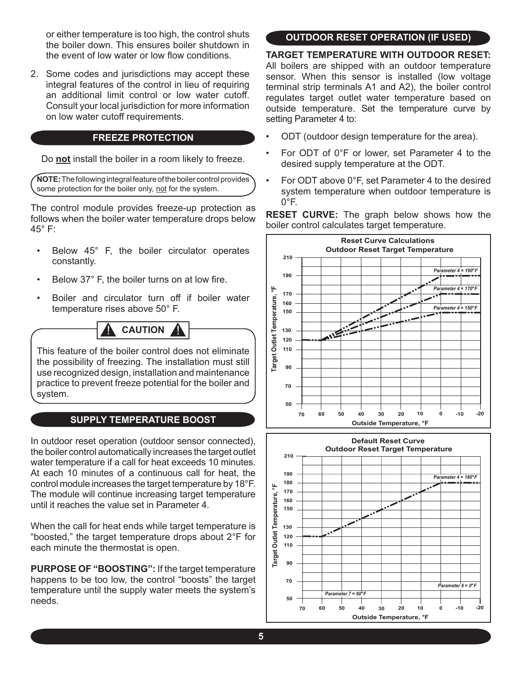or either temperature is too high, the control shuts the boiler down. This ensures boiler shutdown in the event of low water or low flow conditions.

2. Some codes and jurisdictions may accept these integral features of the control in lieu of requiring an additional limit control or low water cutoff. Consult your local jurisdiction for more information on low water cutoff requirements.

### **FREEZE PROTECTION**

Do **not** install the boiler in a room likely to freeze.

**NOTE:** The following integral feature of the boiler control provides some protection for the boiler only, not for the system.

The control module provides freeze-up protection as follows when the boiler water temperature drops below 45° F:

- Below 45° F, the boiler circulator operates constantly. •
- Below 37° F, the boiler turns on at low fire. •
- Boiler and circulator turn off if boiler water temperature rises above 50° F. •

**A** CAUTION

This feature of the boiler control does not eliminate the possibility of freezing. The installation must still use recognized design, installation and maintenance practice to prevent freeze potential for the boiler and system.

# **SUPPLY TEMPERATURE BOOST**

In outdoor reset operation (outdoor sensor connected), the boiler control automatically increases the target outlet water temperature if a call for heat exceeds 10 minutes. At each 10 minutes of a continuous call for heat, the control module increases the target temperature by 18°F. The module will continue increasing target temperature until it reaches the value set in Parameter 4.

When the call for heat ends while target temperature is "boosted," the target temperature drops about 2°F for each minute the thermostat is open.

**PURPOSE OF "BOOSTING":** If the target temperature happens to be too low, the control "boosts" the target temperature until the supply water meets the system's needs.

# **OUTDOOR RESET OPERATION (IF USED)**

**TARGET TEMPERATURE WITH OUTDOOR RESET:**  All boilers are shipped with an outdoor temperature sensor. When this sensor is installed (low voltage terminal strip terminals A1 and A2), the boiler control regulates target outlet water temperature based on outside temperature. Set the temperature curve by setting Parameter 4 to:

- ODT (outdoor design temperature for the area). •
- For ODT of 0°F or lower, set Parameter 4 to the desired supply temperature at the ODT. •
- For ODT above 0°F, set Parameter 4 to the desired system temperature when outdoor temperature is  $0^{\circ}$ F. •

**RESET CURVE:** The graph below shows how the boiler control calculates target temperature.



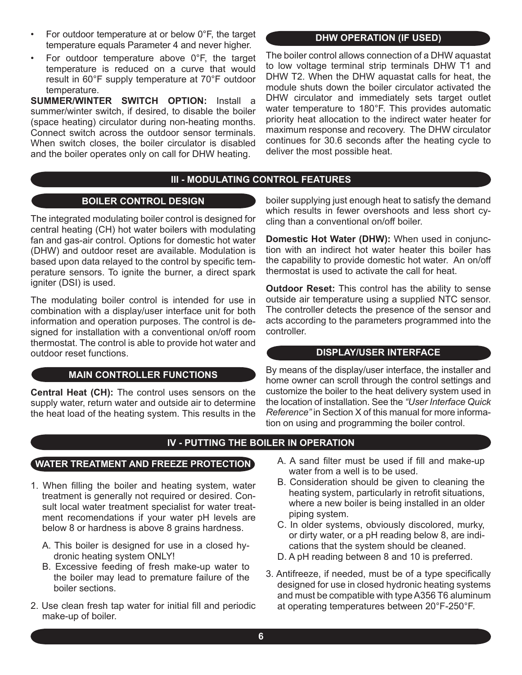- For outdoor temperature at or below 0°F, the target temperature equals Parameter 4 and never higher. •
- For outdoor temperature above 0°F, the target temperature is reduced on a curve that would result in 60°F supply temperature at 70°F outdoor temperature. •

**SUMMER/WINTER SWITCH OPTION:** Install a summer/winter switch, if desired, to disable the boiler (space heating) circulator during non-heating months. Connect switch across the outdoor sensor terminals. When switch closes, the boiler circulator is disabled and the boiler operates only on call for DHW heating.

#### **DHW OPERATION (IF USED)**

The boiler control allows connection of a DHW aquastat to low voltage terminal strip terminals DHW T1 and DHW T2. When the DHW aquastat calls for heat, the module shuts down the boiler circulator activated the DHW circulator and immediately sets target outlet water temperature to 180°F. This provides automatic priority heat allocation to the indirect water heater for maximum response and recovery. The DHW circulator continues for 30.6 seconds after the heating cycle to deliver the most possible heat.

#### **III - MODULATING CONTROL FEATURES**

#### **BOILER CONTROL DESIGN**

The integrated modulating boiler control is designed for central heating (CH) hot water boilers with modulating fan and gas-air control. Options for domestic hot water (DHW) and outdoor reset are available. Modulation is based upon data relayed to the control by specific temperature sensors. To ignite the burner, a direct spark igniter (DSI) is used.

The modulating boiler control is intended for use in combination with a display/user interface unit for both information and operation purposes. The control is designed for installation with a conventional on/off room thermostat. The control is able to provide hot water and outdoor reset functions.

#### **MAIN CONTROLLER FUNCTIONS**

**Central Heat (CH):** The control uses sensors on the supply water, return water and outside air to determine the heat load of the heating system. This results in the boiler supplying just enough heat to satisfy the demand which results in fewer overshoots and less short cycling than a conventional on/off boiler.

**Domestic Hot Water (DHW):** When used in conjunction with an indirect hot water heater this boiler has the capability to provide domestic hot water. An on/off thermostat is used to activate the call for heat.

**Outdoor Reset:** This control has the ability to sense outside air temperature using a supplied NTC sensor. The controller detects the presence of the sensor and acts according to the parameters programmed into the controller.

#### **DISPLAY/USER INTERFACE**

By means of the display/user interface, the installer and home owner can scroll through the control settings and customize the boiler to the heat delivery system used in the location of installation. See the *"User Interface Quick Reference"* in Section X of this manual for more information on using and programming the boiler control.

## **IV - PUTTING THE BOILER IN OPERATION**

#### **WATER TREATMENT AND FREEZE PROTECTION**

- 1. When filling the boiler and heating system, water treatment is generally not required or desired. Consult local water treatment specialist for water treatment recomendations if your water pH levels are below 8 or hardness is above 8 grains hardness.
	- A. This boiler is designed for use in a closed hydronic heating system ONLY!
	- B. Excessive feeding of fresh make-up water to the boiler may lead to premature failure of the boiler sections.
- 2. Use clean fresh tap water for initial fill and periodic make-up of boiler.
- A. A sand filter must be used if fill and make-up water from a well is to be used.
- B. Consideration should be given to cleaning the heating system, particularly in retrofit situations, where a new boiler is being installed in an older piping system.
- C. In older systems, obviously discolored, murky, or dirty water, or a pH reading below 8, are indications that the system should be cleaned.
- D. A pH reading between 8 and 10 is preferred.
- 3. Antifreeze, if needed, must be of a type specifically designed for use in closed hydronic heating systems and must be compatible with type A356 T6 aluminum at operating temperatures between 20°F-250°F.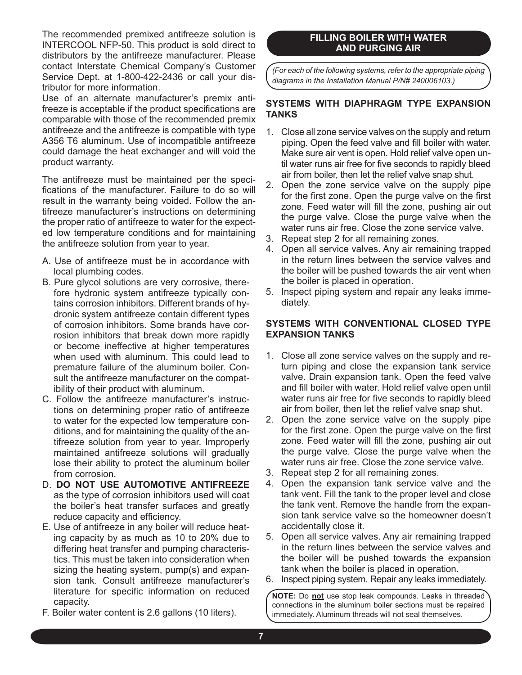The recommended premixed antifreeze solution is INTERCOOL NFP-50. This product is sold direct to distributors by the antifreeze manufacturer. Please contact Interstate Chemical Company's Customer Service Dept. at 1-800-422-2436 or call your distributor for more information.

 Use of an alternate manufacturer's premix antifreeze is acceptable if the product specifications are comparable with those of the recommended premix antifreeze and the antifreeze is compatible with type A356 T6 aluminum. Use of incompatible antifreeze could damage the heat exchanger and will void the product warranty.

 The antifreeze must be maintained per the specifications of the manufacturer. Failure to do so will result in the warranty being voided. Follow the antifreeze manufacturer's instructions on determining the proper ratio of antifreeze to water for the expected low temperature conditions and for maintaining the antifreeze solution from year to year.

- A. Use of antifreeze must be in accordance with local plumbing codes.
- B. Pure glycol solutions are very corrosive, therefore hydronic system antifreeze typically contains corrosion inhibitors. Different brands of hydronic system antifreeze contain different types of corrosion inhibitors. Some brands have corrosion inhibitors that break down more rapidly or become ineffective at higher temperatures when used with aluminum. This could lead to premature failure of the aluminum boiler. Consult the antifreeze manufacturer on the compatibility of their product with aluminum.
- C. Follow the antifreeze manufacturer's instructions on determining proper ratio of antifreeze to water for the expected low temperature conditions, and for maintaining the quality of the antifreeze solution from year to year. Improperly maintained antifreeze solutions will gradually lose their ability to protect the aluminum boiler from corrosion.
- D. **DO NOT USE AUTOMOTIVE ANTIFREEZE** as the type of corrosion inhibitors used will coat the boiler's heat transfer surfaces and greatly reduce capacity and efficiency.
- E. Use of antifreeze in any boiler will reduce heating capacity by as much as 10 to 20% due to differing heat transfer and pumping characteristics. This must be taken into consideration when sizing the heating system, pump(s) and expansion tank. Consult antifreeze manufacturer's literature for specific information on reduced capacity.
- F. Boiler water content is 2.6 gallons (10 liters).

### **FILLING BOILER WITH WATER AND PURGING AIR**

*(For each of the following systems, refer to the appropriate piping diagrams in the Installation Manual P/N# 240006103.)*

#### **SYSTEMS WITH DIAPHRAGM TYPE EXPANSION TANKS**

- Close all zone service valves on the supply and return 1. piping. Open the feed valve and fill boiler with water. Make sure air vent is open. Hold relief valve open until water runs air free for five seconds to rapidly bleed air from boiler, then let the relief valve snap shut.
- 2. Open the zone service valve on the supply pipe for the first zone. Open the purge valve on the first zone. Feed water will fill the zone, pushing air out the purge valve. Close the purge valve when the water runs air free. Close the zone service valve.
- 3. Repeat step 2 for all remaining zones.
- 4. Open all service valves. Any air remaining trapped in the return lines between the service valves and the boiler will be pushed towards the air vent when the boiler is placed in operation.
- 5. Inspect piping system and repair any leaks immediately.

#### **SYSTEMS WITH CONVENTIONAL CLOSED TYPE EXPANSION TANKS**

- Close all zone service valves on the supply and re-1. turn piping and close the expansion tank service valve. Drain expansion tank. Open the feed valve and fill boiler with water. Hold relief valve open until water runs air free for five seconds to rapidly bleed air from boiler, then let the relief valve snap shut.
- 2. Open the zone service valve on the supply pipe for the first zone. Open the purge valve on the first zone. Feed water will fill the zone, pushing air out the purge valve. Close the purge valve when the water runs air free. Close the zone service valve.
- 3. Repeat step 2 for all remaining zones.
- 4. Open the expansion tank service valve and the tank vent. Fill the tank to the proper level and close the tank vent. Remove the handle from the expansion tank service valve so the homeowner doesn't accidentally close it.
- 5. Open all service valves. Any air remaining trapped in the return lines between the service valves and the boiler will be pushed towards the expansion tank when the boiler is placed in operation.
- 6. Inspect piping system. Repair any leaks immediately.

**NOTE:** Do **not** use stop leak compounds. Leaks in threaded connections in the aluminum boiler sections must be repaired immediately. Aluminum threads will not seal themselves.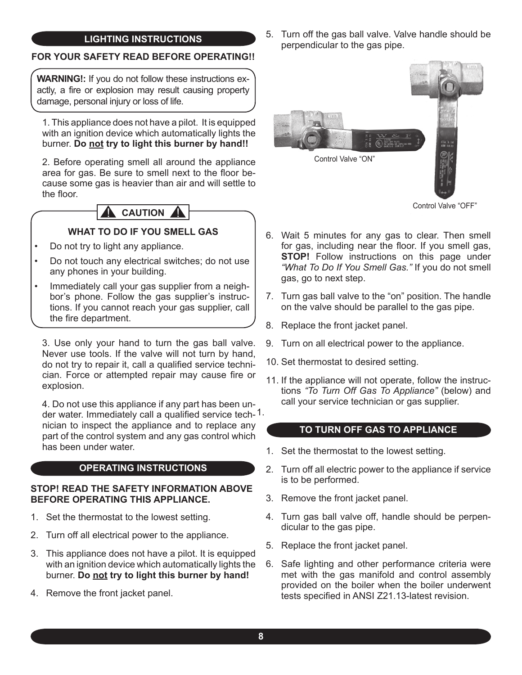#### 5. **LIGHTING INSTRUCTIONS**

## **FOR YOUR SAFETY READ BEFORE OPERATING!!**

**WARNING!:** If you do not follow these instructions exactly, a fire or explosion may result causing property damage, personal injury or loss of life.

1. This appliance does not have a pilot. It is equipped with an ignition device which automatically lights the burner. **Do not try to light this burner by hand!!**

2. Before operating smell all around the appliance area for gas. Be sure to smell next to the floor because some gas is heavier than air and will settle to the floor.

# **A** CAUTION A

# **WHAT TO DO IF YOU SMELL GAS**

- Do not try to light any appliance. •
- Do not touch any electrical switches; do not use any phones in your building. •
- Immediately call your gas supplier from a neighbor's phone. Follow the gas supplier's instructions. If you cannot reach your gas supplier, call the fire department. •

3. Use only your hand to turn the gas ball valve. Never use tools. If the valve will not turn by hand, do not try to repair it, call a qualified service technician. Force or attempted repair may cause fire or explosion.

der water. Immediately call a qualified service tech-1. 4. Do not use this appliance if any part has been unnician to inspect the appliance and to replace any part of the control system and any gas control which has been under water.

# **OPERATING INSTRUCTIONS**

#### **STOP! READ THE SAFETY INFORMATION ABOVE BEFORE OPERATING THIS APPLIANCE.**

- 1. Set the thermostat to the lowest setting.
- Turn off all electrical power to the appliance. 2.
- 3. This appliance does not have a pilot. It is equipped with an ignition device which automatically lights the burner. **Do not try to light this burner by hand!**
- 4. Remove the front jacket panel.

5. Turn off the gas ball valve. Valve handle should be perpendicular to the gas pipe.



Control Valve "OFF"

- Wait 5 minutes for any gas to clear. Then smell 6. for gas, including near the floor. If you smell gas, **STOP!** Follow instructions on this page under *"What To Do If You Smell Gas."* If you do not smell gas, go to next step.
- 7. Turn gas ball valve to the "on" position. The handle on the valve should be parallel to the gas pipe.
- 8. Replace the front jacket panel.
- Turn on all electrical power to the appliance. 9.
- 10. Set thermostat to desired setting.
- 11. If the appliance will not operate, follow the instructions *"To Turn Off Gas To Appliance"* (below) and call your service technician or gas supplier.

#### **TO TURN OFF GAS TO APPLIANCE**

- 1. Set the thermostat to the lowest setting.
- 2. Turn off all electric power to the appliance if service is to be performed.
- 3. Remove the front jacket panel.
- Turn gas ball valve off, handle should be perpen-4. dicular to the gas pipe.
- 5. Replace the front jacket panel.
- 6. Safe lighting and other performance criteria were met with the gas manifold and control assembly provided on the boiler when the boiler underwent tests specified in ANSI Z21.13-latest revision.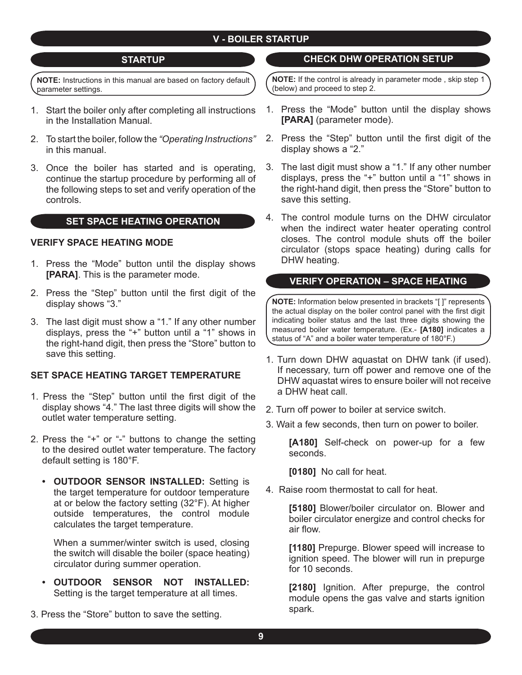#### **STARTUP**

**NOTE:** Instructions in this manual are based on factory default parameter settings.

- Start the boiler only after completing all instructions 1. in the Installation Manual.
- To start the boiler, follow the *"Operating Instructions"*  2. in this manual.
- 3. Once the boiler has started and is operating, continue the startup procedure by performing all of the following steps to set and verify operation of the controls.

#### **SET SPACE HEATING OPERATION**

#### **VERIFY SPACE HEATING MODE**

- 1. Press the "Mode" button until the display shows **[PARA]**. This is the parameter mode.
- 2. Press the "Step" button until the first digit of the display shows "3."
- The last digit must show a "1." If any other number 3. displays, press the "+" button until a "1" shows in the right-hand digit, then press the "Store" button to save this setting.

#### **SET SPACE HEATING TARGET TEMPERATURE**

- 1. Press the "Step" button until the first digit of the display shows "4." The last three digits will show the outlet water temperature setting.
- 2. Press the "+" or "-" buttons to change the setting to the desired outlet water temperature. The factory default setting is 180°F.
	- **OUTDOOR SENSOR INSTALLED:** Setting is **•** the target temperature for outdoor temperature at or below the factory setting (32°F). At higher outside temperatures, the control module calculates the target temperature.

When a summer/winter switch is used, closing the switch will disable the boiler (space heating) circulator during summer operation.

- **OUTDOOR SENSOR NOT INSTALLED: •** Setting is the target temperature at all times.
- 3. Press the "Store" button to save the setting.

### **CHECK DHW OPERATION SETUP**

**NOTE:** If the control is already in parameter mode , skip step 1 (below) and proceed to step 2.

- 1. Press the "Mode" button until the display shows **[PARA]** (parameter mode).
- 2. Press the "Step" button until the first digit of the display shows a "2."
- The last digit must show a "1." If any other number 3. displays, press the "+" button until a "1" shows in the right-hand digit, then press the "Store" button to save this setting.
- The control module turns on the DHW circulator 4.when the indirect water heater operating control closes. The control module shuts off the boiler circulator (stops space heating) during calls for DHW heating.

#### **VERIFY OPERATION – SPACE HEATING**

**NOTE:** Information below presented in brackets "[ ]" represents the actual display on the boiler control panel with the first digit indicating boiler status and the last three digits showing the measured boiler water temperature. (Ex.- **[A180]** indicates a status of "A" and a boiler water temperature of 180°F.)

- 1. Turn down DHW aquastat on DHW tank (if used). If necessary, turn off power and remove one of the DHW aquastat wires to ensure boiler will not receive a DHW heat call.
- 2. Turn off power to boiler at service switch.
- 3. Wait a few seconds, then turn on power to boiler.

**[A180]** Self-check on power-up for a few seconds.

**[0180]** No call for heat.

4. Raise room thermostat to call for heat.

**[5180]** Blower/boiler circulator on. Blower and boiler circulator energize and control checks for air flow.

**[1180]** Prepurge. Blower speed will increase to ignition speed. The blower will run in prepurge for 10 seconds.

**[2180]** Ignition. After prepurge, the control module opens the gas valve and starts ignition spark.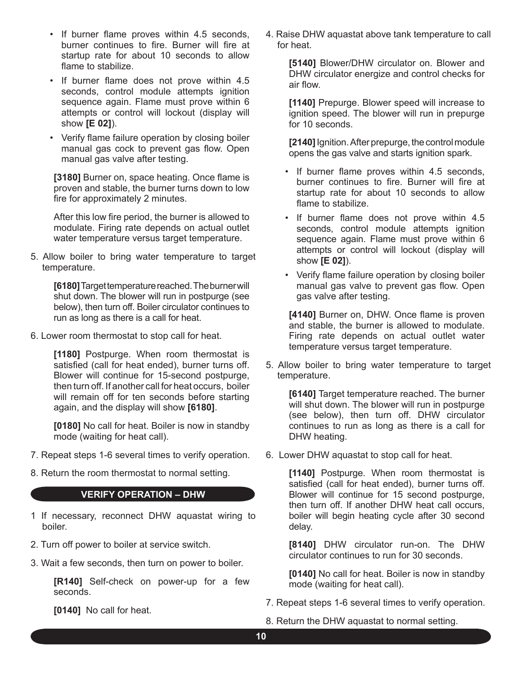- If burner flame proves within 4.5 seconds, burner continues to fire. Burner will fire at startup rate for about 10 seconds to allow flame to stabilize.
- If burner flame does not prove within 4.5 seconds, control module attempts ignition sequence again. Flame must prove within 6 attempts or control will lockout (display will show **[E 02]**).
- Verify flame failure operation by closing boiler manual gas cock to prevent gas flow. Open manual gas valve after testing.

**[3180]** Burner on, space heating. Once flame is proven and stable, the burner turns down to low fire for approximately 2 minutes.

After this low fire period, the burner is allowed to modulate. Firing rate depends on actual outlet water temperature versus target temperature.

5. Allow boiler to bring water temperature to target temperature.

> **[6180]** Target temperature reached.The burner will shut down. The blower will run in postpurge (see below), then turn off. Boiler circulator continues to run as long as there is a call for heat.

6. Lower room thermostat to stop call for heat.

**[1180]** Postpurge. When room thermostat is satisfied (call for heat ended), burner turns off. Blower will continue for 15-second postpurge, then turn off. If another call for heat occurs, boiler will remain off for ten seconds before starting again, and the display will show **[6180]**.

**[0180]** No call for heat. Boiler is now in standby mode (waiting for heat call).

- 7. Repeat steps 1-6 several times to verify operation.
- 8. Return the room thermostat to normal setting.

#### **VERIFY OPERATION – DHW**

- 1 If necessary, reconnect DHW aquastat wiring to boiler.
- 2. Turn off power to boiler at service switch.
- 3. Wait a few seconds, then turn on power to boiler.

**[R140]** Self-check on power-up for a few seconds.

**[0140]** No call for heat.

4. Raise DHW aquastat above tank temperature to call for heat.

> **[5140]** Blower/DHW circulator on. Blower and DHW circulator energize and control checks for air flow.

> **[1140]** Prepurge. Blower speed will increase to ignition speed. The blower will run in prepurge for 10 seconds.

> **[2140]** Ignition.After prepurge, the control module opens the gas valve and starts ignition spark.

- If burner flame proves within 4.5 seconds, burner continues to fire. Burner will fire at startup rate for about 10 seconds to allow flame to stabilize.
- If burner flame does not prove within 4.5 seconds, control module attempts ignition sequence again. Flame must prove within 6 attempts or control will lockout (display will show **[E 02]**).
- Verify flame failure operation by closing boiler manual gas valve to prevent gas flow. Open gas valve after testing.

**[4140]** Burner on, DHW. Once flame is proven and stable, the burner is allowed to modulate. Firing rate depends on actual outlet water temperature versus target temperature.

5. Allow boiler to bring water temperature to target temperature.

**[6140]** Target temperature reached. The burner will shut down. The blower will run in postpurge (see below), then turn off. DHW circulator continues to run as long as there is a call for DHW heating.

6. Lower DHW aquastat to stop call for heat.

**[1140]** Postpurge. When room thermostat is satisfied (call for heat ended), burner turns off. Blower will continue for 15 second postpurge, then turn off. If another DHW heat call occurs, boiler will begin heating cycle after 30 second delay.

**[8140]** DHW circulator run-on. The DHW circulator continues to run for 30 seconds.

**[0140]** No call for heat. Boiler is now in standby mode (waiting for heat call).

7. Repeat steps 1-6 several times to verify operation.

8. Return the DHW aquastat to normal setting.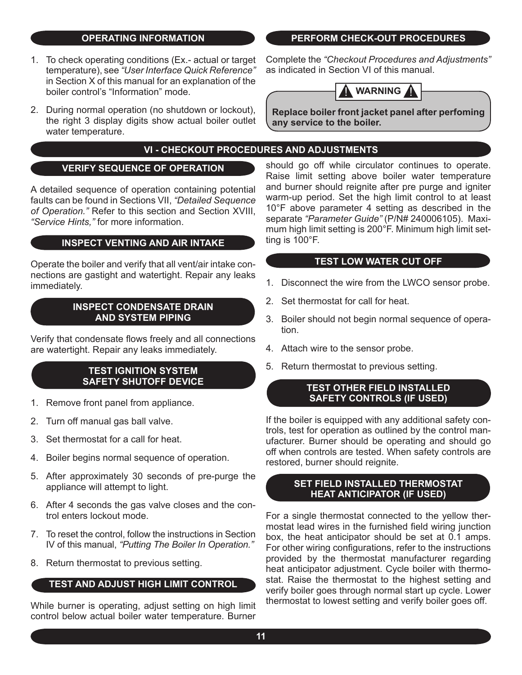#### **OPERATING INFORMATION**

- 1. To check operating conditions (Ex.- actual or target temperature), see *"User Interface Quick Reference"*  in Section X of this manual for an explanation of the boiler control's "Information" mode.
- 2. During normal operation (no shutdown or lockout), the right 3 display digits show actual boiler outlet water temperature.

# **VI - CHECKOUT PROCEDURES AND ADJUSTMENTS**

#### **VERIFY SEQUENCE OF OPERATION**

A detailed sequence of operation containing potential faults can be found in Sections VII, *"Detailed Sequence of Operation."* Refer to this section and Section XVIII, *"Service Hints,"* for more information.

#### **INSPECT VENTING AND AIR INTAKE**

Operate the boiler and verify that all vent/air intake connections are gastight and watertight. Repair any leaks immediately.

#### **INSPECT CONDENSATE DRAIN AND SYSTEM PIPING**

Verify that condensate flows freely and all connections are watertight. Repair any leaks immediately.

#### **TEST IGNITION SYSTEM SAFETY SHUTOFF DEVICE**

- 1. Remove front panel from appliance.
- 2. Turn off manual gas ball valve.
- Set thermostat for a call for heat. 3.
- 4. Boiler begins normal sequence of operation.
- 5. After approximately 30 seconds of pre-purge the appliance will attempt to light.
- 6. After 4 seconds the gas valve closes and the control enters lockout mode.
- 7. To reset the control, follow the instructions in Section IV of this manual, *"Putting The Boiler In Operation."*
- 8. Return thermostat to previous setting.

#### **TEST AND ADJUST HIGH LIMIT CONTROL**

While burner is operating, adjust setting on high limit control below actual boiler water temperature. Burner Complete the *"Checkout Procedures and Adjustments"*  as indicated in Section VI of this manual.



**Replace boiler front jacket panel after perfoming any service to the boiler.**

should go off while circulator continues to operate. Raise limit setting above boiler water temperature and burner should reignite after pre purge and igniter warm-up period. Set the high limit control to at least 10°F above parameter 4 setting as described in the separate *"Parameter Guide"* (P/N# 240006105). Maximum high limit setting is 200°F. Minimum high limit setting is 100°F.

#### **TEST LOW WATER CUT OFF**

- 1. Disconnect the wire from the LWCO sensor probe.
- 2. Set thermostat for call for heat.
- 3. Boiler should not begin normal sequence of operation.
- 4. Attach wire to the sensor probe.
- 5. Return thermostat to previous setting.

#### **TEST OTHER FIELD INSTALLED SAFETY CONTROLS (IF USED)**

If the boiler is equipped with any additional safety controls, test for operation as outlined by the control manufacturer. Burner should be operating and should go off when controls are tested. When safety controls are restored, burner should reignite.

#### **SET FIELD INSTALLED THERMOSTAT HEAT ANTICIPATOR (IF USED)**

For a single thermostat connected to the yellow thermostat lead wires in the furnished field wiring junction box, the heat anticipator should be set at 0.1 amps. For other wiring configurations, refer to the instructions provided by the thermostat manufacturer regarding heat anticipator adjustment. Cycle boiler with thermostat. Raise the thermostat to the highest setting and verify boiler goes through normal start up cycle. Lower thermostat to lowest setting and verify boiler goes off.

#### **PERFORM CHECK-OUT PROCEDURES**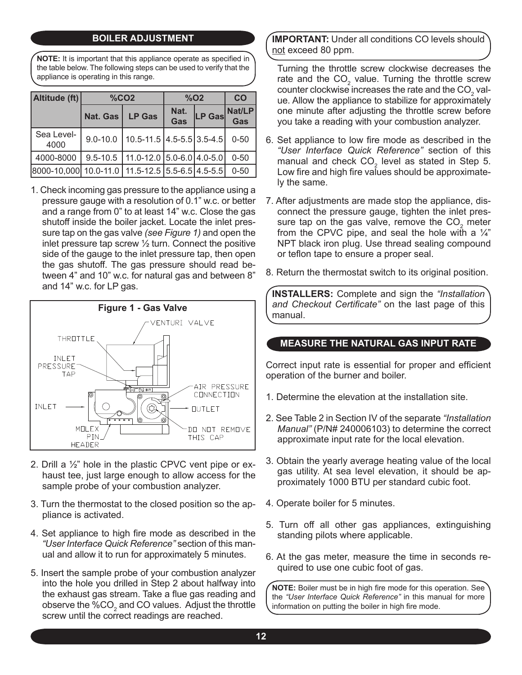# **BOILER ADJUSTMENT**

**NOTE:** It is important that this appliance operate as specified in the table below. The following steps can be used to verify that the appliance is operating in this range.

| Altitude (ft)                                   |                 | %CO <sub>2</sub>                  | $%$ O <sub>2</sub> | CO     |               |
|-------------------------------------------------|-----------------|-----------------------------------|--------------------|--------|---------------|
|                                                 | <b>Nat. Gas</b> | <b>LP Gas</b>                     | Nat.<br>Gas        | LP Gas | Nat/LP<br>Gas |
| Sea Level-<br>4000                              | $9.0 - 10.0$    | $10.5 - 11.5$ 4.5 - 5.5 3.5 - 4.5 |                    |        | $0 - 50$      |
| 4000-8000                                       | $9.5 - 10.5$    | $11.0 - 12.0$ 5.0 - 6.0 4.0 - 5.0 |                    |        | $0 - 50$      |
| 8000-10,000 10.0-11.0 11.5-12.5 5.5-6.5 4.5-5.5 |                 |                                   |                    |        | $0 - 50$      |

1. Check incoming gas pressure to the appliance using a pressure gauge with a resolution of 0.1" w.c. or better and a range from 0" to at least 14" w.c. Close the gas shutoff inside the boiler jacket. Locate the inlet pressure tap on the gas valve *(see Figure 1)* and open the inlet pressure tap screw ½ turn. Connect the positive side of the gauge to the inlet pressure tap, then open the gas shutoff. The gas pressure should read between 4" and 10" w.c. for natural gas and between 8" and 14" w.c. for LP gas.



- 2. Drill a ½" hole in the plastic CPVC vent pipe or exhaust tee, just large enough to allow access for the sample probe of your combustion analyzer.
- 3. Turn the thermostat to the closed position so the appliance is activated.
- 4. Set appliance to high fire mode as described in the *"User Interface Quick Reference"* section of this manual and allow it to run for approximately 5 minutes.
- 5. Insert the sample probe of your combustion analyzer into the hole you drilled in Step 2 about halfway into the exhaust gas stream. Take a flue gas reading and observe the  $\%CO_{2}$  and CO values. Adjust the throttle screw until the correct readings are reached.

**IMPORTANT:** Under all conditions CO levels should not exceed 80 ppm.

Turning the throttle screw clockwise decreases the rate and the  $CO<sub>2</sub>$  value. Turning the throttle screw counter clockwise increases the rate and the  $CO<sub>2</sub>$  value. Allow the appliance to stabilize for approximately one minute after adjusting the throttle screw before you take a reading with your combustion analyzer.

- 6. Set appliance to low fire mode as described in the *"User Interface Quick Reference"* section of this manual and check  $CO<sub>2</sub>$  level as stated in Step 5. Low fire and high fire values should be approximately the same.
- 7. After adjustments are made stop the appliance, disconnect the pressure gauge, tighten the inlet pressure tap on the gas valve, remove the  $CO<sub>2</sub>$  meter from the CPVC pipe, and seal the hole with a  $\frac{1}{4}$ " NPT black iron plug. Use thread sealing compound or teflon tape to ensure a proper seal.
- 8. Return the thermostat switch to its original position.

**INSTALLERS:** Complete and sign the *"Installation and Checkout Certificate"* on the last page of this manual.

#### **MEASURE THE NATURAL GAS INPUT RATE**

Correct input rate is essential for proper and efficient operation of the burner and boiler.

- 1. Determine the elevation at the installation site.
- 2. See Table 2 in Section IV of the separate *"Installation Manual"* (P/N# 240006103) to determine the correct approximate input rate for the local elevation.
- 3. Obtain the yearly average heating value of the local gas utility. At sea level elevation, it should be approximately 1000 BTU per standard cubic foot.
- 4. Operate boiler for 5 minutes.
- 5. Turn off all other gas appliances, extinguishing standing pilots where applicable.
- 6. At the gas meter, measure the time in seconds required to use one cubic foot of gas.

**NOTE:** Boiler must be in high fire mode for this operation. See the *"User Interface Quick Reference"* in this manual for more information on putting the boiler in high fire mode.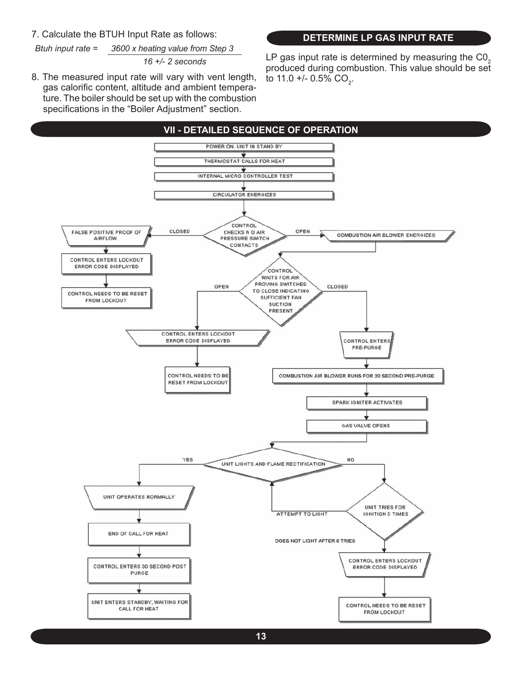#### 7. Calculate the BTUH Input Rate as follows:

*Btuh input rate = 3600 x heating value from Step 3*

*16 +/- 2 seconds*

8. The measured input rate will vary with vent length, gas calorific content, altitude and ambient temperature. The boiler should be set up with the combustion specifications in the "Boiler Adjustment" section.

#### **DETERMINE LP GAS INPUT RATE**

LP gas input rate is determined by measuring the  $CO<sub>2</sub>$ produced during combustion. This value should be set to 11.0 +/- 0.5% CO<sub>2</sub>.

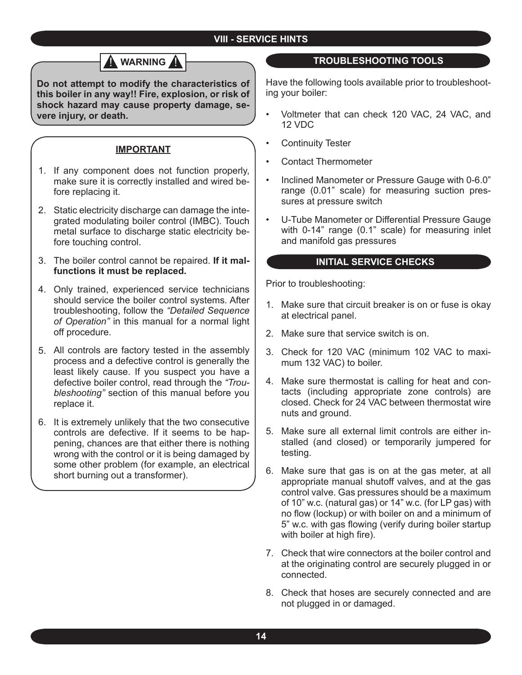# **VIII - SERVICE HINTS**

# **WARNING**

**Do not attempt to modify the characteristics of this boiler in any way!! Fire, explosion, or risk of shock hazard may cause property damage, severe injury, or death.**

#### **IMPORTANT**

- 1. If any component does not function properly, make sure it is correctly installed and wired before replacing it.
- Static electricity discharge can damage the inte-2. grated modulating boiler control (IMBC). Touch metal surface to discharge static electricity before touching control.
- The boiler control cannot be repaired. **If it mal-**3. **functions it must be replaced.**
- Only trained, experienced service technicians 4. should service the boiler control systems. After troubleshooting, follow the *"Detailed Sequence of Operation"* in this manual for a normal light off procedure.
- All controls are factory tested in the assembly 5. process and a defective control is generally the least likely cause. If you suspect you have a defective boiler control, read through the *"Troubleshooting"* section of this manual before you replace it.
- 6. It is extremely unlikely that the two consecutive controls are defective. If it seems to be happening, chances are that either there is nothing wrong with the control or it is being damaged by some other problem (for example, an electrical short burning out a transformer).

#### **TROUBLESHOOTING TOOLS**

Have the following tools available prior to troubleshooting your boiler:

- Voltmeter that can check 120 VAC, 24 VAC, and 12 VDC •
- Continuity Tester •
- Contact Thermometer •
- Inclined Manometer or Pressure Gauge with 0-6.0" range (0.01" scale) for measuring suction pressures at pressure switch •
- U-Tube Manometer or Differential Pressure Gauge with 0-14" range (0.1" scale) for measuring inlet and manifold gas pressures •

#### **INITIAL SERVICE CHECKS**

Prior to troubleshooting:

- Make sure that circuit breaker is on or fuse is okay 1. at electrical panel.
- Make sure that service switch is on. 2.
- Check for 120 VAC (minimum 102 VAC to maxi-3. mum 132 VAC) to boiler.
- 4. Make sure thermostat is calling for heat and contacts (including appropriate zone controls) are closed. Check for 24 VAC between thermostat wire nuts and ground.
- Make sure all external limit controls are either in-5. stalled (and closed) or temporarily jumpered for testing.
- 6. Make sure that gas is on at the gas meter, at all appropriate manual shutoff valves, and at the gas control valve. Gas pressures should be a maximum of 10" w.c. (natural gas) or 14" w.c. (for LP gas) with no flow (lockup) or with boiler on and a minimum of 5" w.c. with gas flowing (verify during boiler startup with boiler at high fire).
- 7. Check that wire connectors at the boiler control and at the originating control are securely plugged in or connected.
- Check that hoses are securely connected and are 8. not plugged in or damaged.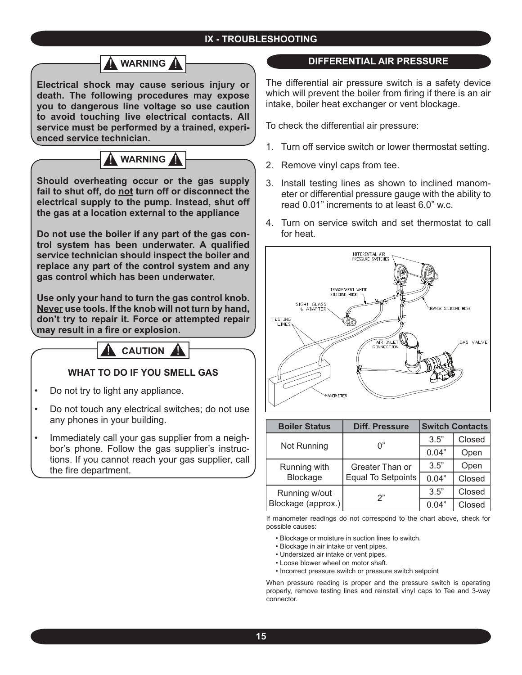

**Electrical shock may cause serious injury or death. The following procedures may expose you to dangerous line voltage so use caution to avoid touching live electrical contacts. All service must be performed by a trained, experienced service technician.**

# **WARNING**

**Should overheating occur or the gas supply fail to shut off, do not turn off or disconnect the electrical supply to the pump. Instead, shut off the gas at a location external to the appliance**

**Do not use the boiler if any part of the gas control system has been underwater. A qualified service technician should inspect the boiler and replace any part of the control system and any gas control which has been underwater.**

**Use only your hand to turn the gas control knob. Never use tools. If the knob will not turn by hand, don't try to repair it. Force or attempted repair may result in a fire or explosion.**



#### **WHAT TO DO IF YOU SMELL GAS**

- Do not try to light any appliance. •
- Do not touch any electrical switches; do not use any phones in your building. •
- Immediately call your gas supplier from a neighbor's phone. Follow the gas supplier's instructions. If you cannot reach your gas supplier, call the fire department. •

#### **DIFFERENTIAL AIR PRESSURE**

The differential air pressure switch is a safety device which will prevent the boiler from firing if there is an air intake, boiler heat exchanger or vent blockage.

To check the differential air pressure:

- 1. Turn off service switch or lower thermostat setting.
- 2. Remove vinyl caps from tee.
- 3. Install testing lines as shown to inclined manometer or differential pressure gauge with the ability to read 0.01" increments to at least 6.0" w.c.
- Turn on service switch and set thermostat to call 4. for heat.



| <b>Boiler Status</b> | <b>Diff. Pressure</b>     |       | <b>Switch Contacts</b> |
|----------------------|---------------------------|-------|------------------------|
| Not Running          | 0"                        | 3.5"  | Closed                 |
|                      |                           | 0.04" | Open                   |
| Running with         | Greater Than or           | 3.5"  | Open                   |
| Blockage             | <b>Equal To Setpoints</b> | 0.04" | Closed                 |
| Running w/out        | 2"                        | 3.5"  | Closed                 |
| Blockage (approx.)   |                           | 0.04" | Closed                 |

If manometer readings do not correspond to the chart above, check for possible causes:

- Blockage or moisture in suction lines to switch.
- Blockage in air intake or vent pipes.
- Undersized air intake or vent pipes.
- Loose blower wheel on motor shaft.
- Incorrect pressure switch or pressure switch setpoint

When pressure reading is proper and the pressure switch is operating properly, remove testing lines and reinstall vinyl caps to Tee and 3-way connector.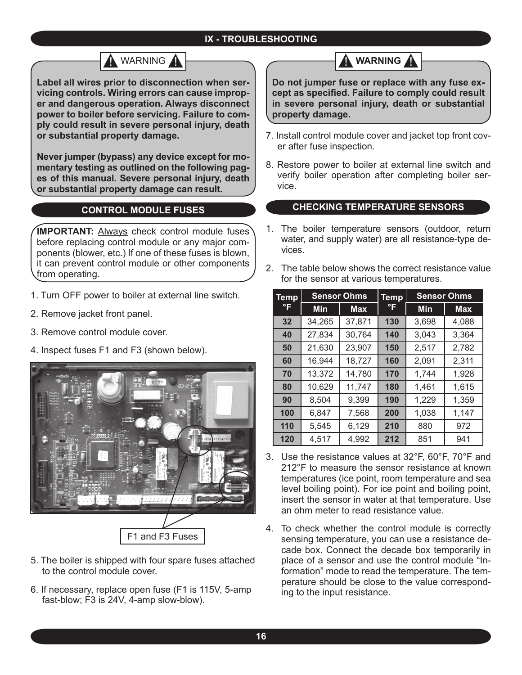# A WARNING A

**Label all wires prior to disconnection when servicing controls. Wiring errors can cause improper and dangerous operation. Always disconnect power to boiler before servicing. Failure to comply could result in severe personal injury, death or substantial property damage.**

**Never jumper (bypass) any device except for momentary testing as outlined on the following pages of this manual. Severe personal injury, death or substantial property damage can result.**

# **CONTROL MODULE FUSES**

**IMPORTANT: Always check control module fuses** before replacing control module or any major components (blower, etc.) If one of these fuses is blown, it can prevent control module or other components from operating.

- 1. Turn OFF power to boiler at external line switch.
- 2. Remove jacket front panel.
- 3. Remove control module cover.
- 4. Inspect fuses F1 and F3 (shown below).



- 5. The boiler is shipped with four spare fuses attached to the control module cover.
- 6. If necessary, replace open fuse (F1 is 115V, 5-amp fast-blow; F3 is 24V, 4-amp slow-blow).

# **WARNING**

**Do not jumper fuse or replace with any fuse except as specified. Failure to comply could result in severe personal injury, death or substantial property damage.**

- 7. Install control module cover and jacket top front cover after fuse inspection.
- 8. Restore power to boiler at external line switch and verify boiler operation after completing boiler service.

## **CHECKING TEMPERATURE SENSORS**

- 1. The boiler temperature sensors (outdoor, return water, and supply water) are all resistance-type devices.
- 2. The table below shows the correct resistance value for the sensor at various temperatures.

| Temp |            | <b>Sensor Ohms</b> | <b>Temp</b> | <b>Sensor Ohms</b> |            |  |  |
|------|------------|--------------------|-------------|--------------------|------------|--|--|
| °F   | <b>Min</b> | <b>Max</b>         | °F          | <b>Min</b>         | <b>Max</b> |  |  |
| 32   | 34,265     | 37,871             | 130         | 3,698              | 4,088      |  |  |
| 40   | 27,834     | 30,764             | 140         | 3,043              | 3,364      |  |  |
| 50   | 21,630     | 23,907             | 150         | 2,517              | 2,782      |  |  |
| 60   | 16,944     | 18,727             | 160         | 2,091              | 2,311      |  |  |
| 70   | 13,372     | 14,780             | 170         | 1,744              | 1,928      |  |  |
| 80   | 10,629     | 11,747             | 180         | 1,461              | 1,615      |  |  |
| 90   | 8,504      | 9,399              | 190         | 1,229              | 1,359      |  |  |
| 100  | 6,847      | 7,568              | 200         | 1,038              | 1,147      |  |  |
| 110  | 5,545      | 6,129              | 210         | 880                | 972        |  |  |
| 120  | 4,517      | 4,992              | 212         | 851                | 941        |  |  |

- Use the resistance values at 32°F, 60°F, 70°F and 3. 212°F to measure the sensor resistance at known temperatures (ice point, room temperature and sea level boiling point). For ice point and boiling point, insert the sensor in water at that temperature. Use an ohm meter to read resistance value.
- 4. To check whether the control module is correctly sensing temperature, you can use a resistance decade box. Connect the decade box temporarily in place of a sensor and use the control module "Information" mode to read the temperature. The temperature should be close to the value corresponding to the input resistance.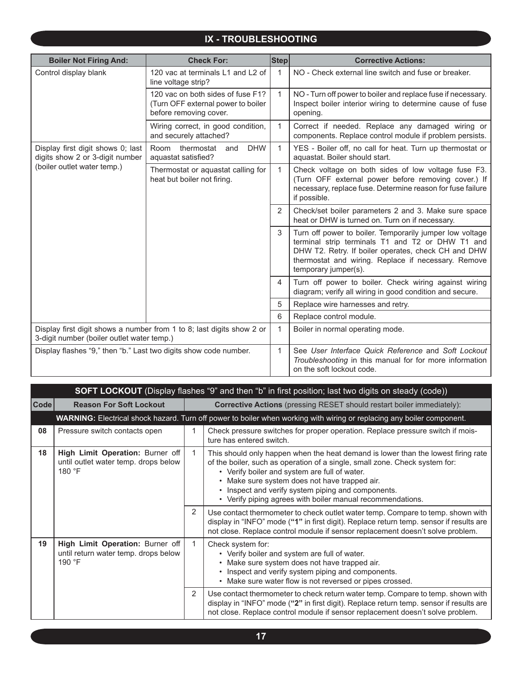| <b>Boiler Not Firing And:</b>                                        | <b>Check For:</b>                                                                                 | $ \textsf{Step} $ | <b>Corrective Actions:</b>                                                                                                                                                                                                                         |                                                                                                                   |
|----------------------------------------------------------------------|---------------------------------------------------------------------------------------------------|-------------------|----------------------------------------------------------------------------------------------------------------------------------------------------------------------------------------------------------------------------------------------------|-------------------------------------------------------------------------------------------------------------------|
| Control display blank                                                | 120 vac at terminals L1 and L2 of<br>line voltage strip?                                          | $\mathbf{1}$      | NO - Check external line switch and fuse or breaker.                                                                                                                                                                                               |                                                                                                                   |
|                                                                      | 120 vac on both sides of fuse F1?<br>(Turn OFF external power to boiler<br>before removing cover. | $\mathbf{1}$      | NO - Turn off power to boiler and replace fuse if necessary.<br>Inspect boiler interior wiring to determine cause of fuse<br>opening.                                                                                                              |                                                                                                                   |
|                                                                      | Wiring correct, in good condition,<br>and securely attached?                                      | 1                 | Correct if needed. Replace any damaged wiring or<br>components. Replace control module if problem persists.                                                                                                                                        |                                                                                                                   |
| Display first digit shows 0; last<br>digits show 2 or 3-digit number | Room<br>thermostat<br><b>DHW</b><br>and<br>aquastat satisfied?                                    | $\mathbf{1}$      | YES - Boiler off, no call for heat. Turn up thermostat or<br>aquastat. Boiler should start.                                                                                                                                                        |                                                                                                                   |
| (boiler outlet water temp.)                                          | Thermostat or aquastat calling for<br>heat but boiler not firing.                                 | $\mathbf{1}$      | Check voltage on both sides of low voltage fuse F3.<br>(Turn OFF external power before removing cover.) If<br>necessary, replace fuse. Determine reason for fuse failure<br>if possible.                                                           |                                                                                                                   |
|                                                                      |                                                                                                   |                   | 2                                                                                                                                                                                                                                                  | Check/set boiler parameters 2 and 3. Make sure space<br>heat or DHW is turned on. Turn on if necessary.           |
|                                                                      |                                                                                                   | 3                 | Turn off power to boiler. Temporarily jumper low voltage<br>terminal strip terminals T1 and T2 or DHW T1 and<br>DHW T2. Retry. If boiler operates, check CH and DHW<br>thermostat and wiring. Replace if necessary. Remove<br>temporary jumper(s). |                                                                                                                   |
|                                                                      |                                                                                                   |                   | 4                                                                                                                                                                                                                                                  | Turn off power to boiler. Check wiring against wiring<br>diagram; verify all wiring in good condition and secure. |
|                                                                      |                                                                                                   | 5                 | Replace wire harnesses and retry.                                                                                                                                                                                                                  |                                                                                                                   |
|                                                                      |                                                                                                   | 6                 | Replace control module.                                                                                                                                                                                                                            |                                                                                                                   |
| 3-digit number (boiler outlet water temp.)                           | Display first digit shows a number from 1 to 8; last digits show 2 or                             | 1                 | Boiler in normal operating mode.                                                                                                                                                                                                                   |                                                                                                                   |
| Display flashes "9," then "b." Last two digits show code number.     |                                                                                                   | 1                 | See User Interface Quick Reference and Soft Lockout<br>Troubleshooting in this manual for for more information<br>on the soft lockout code.                                                                                                        |                                                                                                                   |

|                      | <b>SOFT LOCKOUT</b> (Display flashes "9" and then "b" in first position; last two digits on steady (code)) |                                                                               |                                                                                                                                                                                                                                                                                                                                                                                        |  |  |
|----------------------|------------------------------------------------------------------------------------------------------------|-------------------------------------------------------------------------------|----------------------------------------------------------------------------------------------------------------------------------------------------------------------------------------------------------------------------------------------------------------------------------------------------------------------------------------------------------------------------------------|--|--|
| $\vert$ Code $\vert$ | <b>Reason For Soft Lockout</b>                                                                             | <b>Corrective Actions</b> (pressing RESET should restart boiler immediately): |                                                                                                                                                                                                                                                                                                                                                                                        |  |  |
|                      |                                                                                                            |                                                                               | WARNING: Electrical shock hazard. Turn off power to boiler when working with wiring or replacing any boiler component.                                                                                                                                                                                                                                                                 |  |  |
| 08                   | Pressure switch contacts open                                                                              | 1                                                                             | Check pressure switches for proper operation. Replace pressure switch if mois-<br>ture has entered switch.                                                                                                                                                                                                                                                                             |  |  |
| 18                   | High Limit Operation: Burner off<br>until outlet water temp. drops below<br>180 °F                         | 1                                                                             | This should only happen when the heat demand is lower than the lowest firing rate<br>of the boiler, such as operation of a single, small zone. Check system for:<br>• Verify boiler and system are full of water.<br>• Make sure system does not have trapped air.<br>• Inspect and verify system piping and components.<br>• Verify piping agrees with boiler manual recommendations. |  |  |
|                      |                                                                                                            | $\overline{2}$                                                                | Use contact thermometer to check outlet water temp. Compare to temp. shown with<br>display in "INFO" mode ("1" in first digit). Replace return temp. sensor if results are<br>not close. Replace control module if sensor replacement doesn't solve problem.                                                                                                                           |  |  |
| 19                   | High Limit Operation: Burner off<br>until return water temp. drops below<br>190 °F                         | $\mathbf{1}$                                                                  | Check system for:<br>• Verify boiler and system are full of water.<br>• Make sure system does not have trapped air.<br>• Inspect and verify system piping and components.<br>• Make sure water flow is not reversed or pipes crossed.                                                                                                                                                  |  |  |
|                      |                                                                                                            | 2                                                                             | Use contact thermometer to check return water temp. Compare to temp. shown with<br>display in "INFO" mode ("2" in first digit). Replace return temp. sensor if results are<br>not close. Replace control module if sensor replacement doesn't solve problem.                                                                                                                           |  |  |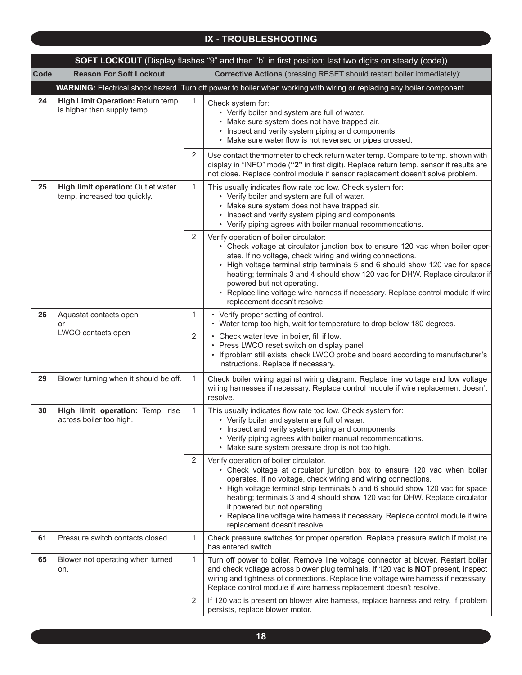|             | <b>SOFT LOCKOUT</b> (Display flashes "9" and then "b" in first position; last two digits on steady (code)) |   |                                                                                                                                                                                                                                                                                                                                                                                                                                                                                                         |  |  |  |
|-------------|------------------------------------------------------------------------------------------------------------|---|---------------------------------------------------------------------------------------------------------------------------------------------------------------------------------------------------------------------------------------------------------------------------------------------------------------------------------------------------------------------------------------------------------------------------------------------------------------------------------------------------------|--|--|--|
| <b>Code</b> | <b>Reason For Soft Lockout</b>                                                                             |   | <b>Corrective Actions</b> (pressing RESET should restart boiler immediately):                                                                                                                                                                                                                                                                                                                                                                                                                           |  |  |  |
|             |                                                                                                            |   | WARNING: Electrical shock hazard. Turn off power to boiler when working with wiring or replacing any boiler component.                                                                                                                                                                                                                                                                                                                                                                                  |  |  |  |
| 24          | High Limit Operation: Return temp.<br>is higher than supply temp.                                          | 1 | Check system for:<br>• Verify boiler and system are full of water.<br>• Make sure system does not have trapped air.<br>• Inspect and verify system piping and components.<br>• Make sure water flow is not reversed or pipes crossed.                                                                                                                                                                                                                                                                   |  |  |  |
|             |                                                                                                            | 2 | Use contact thermometer to check return water temp. Compare to temp. shown with<br>display in "INFO" mode ("2" in first digit). Replace return temp. sensor if results are<br>not close. Replace control module if sensor replacement doesn't solve problem.                                                                                                                                                                                                                                            |  |  |  |
| 25          | High limit operation: Outlet water<br>temp. increased too quickly.                                         | 1 | This usually indicates flow rate too low. Check system for:<br>• Verify boiler and system are full of water.<br>• Make sure system does not have trapped air.<br>• Inspect and verify system piping and components.<br>• Verify piping agrees with boiler manual recommendations.                                                                                                                                                                                                                       |  |  |  |
|             |                                                                                                            | 2 | Verify operation of boiler circulator:<br>• Check voltage at circulator junction box to ensure 120 vac when boiler oper-<br>ates. If no voltage, check wiring and wiring connections.<br>• High voltage terminal strip terminals 5 and 6 should show 120 vac for space<br>heating; terminals 3 and 4 should show 120 vac for DHW. Replace circulator if<br>powered but not operating.<br>Replace line voltage wire harness if necessary. Replace control module if wire<br>replacement doesn't resolve. |  |  |  |
| 26          | Aquastat contacts open<br>or                                                                               | 1 | • Verify proper setting of control.<br>• Water temp too high, wait for temperature to drop below 180 degrees.                                                                                                                                                                                                                                                                                                                                                                                           |  |  |  |
|             | LWCO contacts open                                                                                         | 2 | • Check water level in boiler, fill if low.<br>• Press LWCO reset switch on display panel<br>If problem still exists, check LWCO probe and board according to manufacturer's<br>instructions. Replace if necessary.                                                                                                                                                                                                                                                                                     |  |  |  |
| 29          | Blower turning when it should be off.                                                                      | 1 | Check boiler wiring against wiring diagram. Replace line voltage and low voltage<br>wiring harnesses if necessary. Replace control module if wire replacement doesn't<br>resolve.                                                                                                                                                                                                                                                                                                                       |  |  |  |
| 30          | High limit operation: Temp. rise<br>across boiler too high.                                                | 1 | This usually indicates flow rate too low. Check system for:<br>• Verify boiler and system are full of water.<br>• Inspect and verify system piping and components.<br>• Verify piping agrees with boiler manual recommendations.<br>• Make sure system pressure drop is not too high.                                                                                                                                                                                                                   |  |  |  |
|             |                                                                                                            | 2 | Verify operation of boiler circulator.<br>• Check voltage at circulator junction box to ensure 120 vac when boiler<br>operates. If no voltage, check wiring and wiring connections.<br>• High voltage terminal strip terminals 5 and 6 should show 120 vac for space<br>heating; terminals 3 and 4 should show 120 vac for DHW. Replace circulator<br>if powered but not operating.<br>• Replace line voltage wire harness if necessary. Replace control module if wire<br>replacement doesn't resolve. |  |  |  |
| 61          | Pressure switch contacts closed.                                                                           | 1 | Check pressure switches for proper operation. Replace pressure switch if moisture<br>has entered switch.                                                                                                                                                                                                                                                                                                                                                                                                |  |  |  |
| 65          | Blower not operating when turned<br>on.                                                                    | 1 | Turn off power to boiler. Remove line voltage connector at blower. Restart boiler<br>and check voltage across blower plug terminals. If 120 vac is NOT present, inspect<br>wiring and tightness of connections. Replace line voltage wire harness if necessary.<br>Replace control module if wire harness replacement doesn't resolve.                                                                                                                                                                  |  |  |  |
|             |                                                                                                            | 2 | If 120 vac is present on blower wire harness, replace harness and retry. If problem<br>persists, replace blower motor.                                                                                                                                                                                                                                                                                                                                                                                  |  |  |  |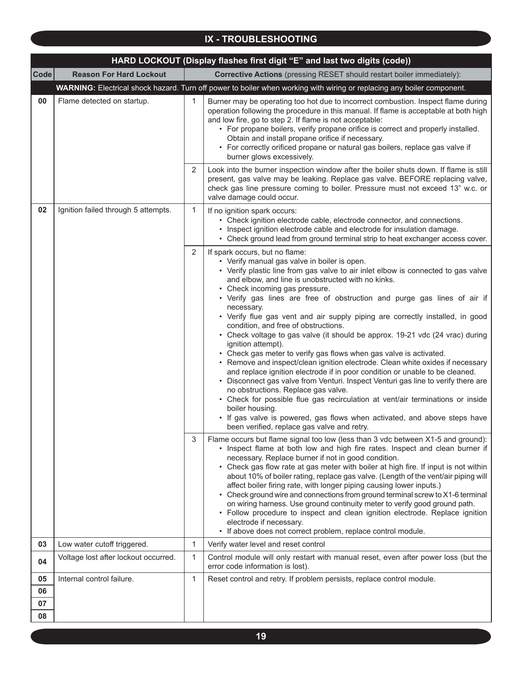|             | HARD LOCKOUT (Display flashes first digit "E" and last two digits (code)) |                |                                                                                                                                                                                                                                                                                                                                                                                                                                                                                                                                                                                                                                                                                                                                                                                                                                                                                                                                                                                                                                                                                                                                                                                            |  |  |  |
|-------------|---------------------------------------------------------------------------|----------------|--------------------------------------------------------------------------------------------------------------------------------------------------------------------------------------------------------------------------------------------------------------------------------------------------------------------------------------------------------------------------------------------------------------------------------------------------------------------------------------------------------------------------------------------------------------------------------------------------------------------------------------------------------------------------------------------------------------------------------------------------------------------------------------------------------------------------------------------------------------------------------------------------------------------------------------------------------------------------------------------------------------------------------------------------------------------------------------------------------------------------------------------------------------------------------------------|--|--|--|
| <b>Code</b> | <b>Reason For Hard Lockout</b>                                            |                | <b>Corrective Actions</b> (pressing RESET should restart boiler immediately):                                                                                                                                                                                                                                                                                                                                                                                                                                                                                                                                                                                                                                                                                                                                                                                                                                                                                                                                                                                                                                                                                                              |  |  |  |
|             |                                                                           |                | WARNING: Electrical shock hazard. Turn off power to boiler when working with wiring or replacing any boiler component.                                                                                                                                                                                                                                                                                                                                                                                                                                                                                                                                                                                                                                                                                                                                                                                                                                                                                                                                                                                                                                                                     |  |  |  |
| 00          | Flame detected on startup.                                                | 1              | Burner may be operating too hot due to incorrect combustion. Inspect flame during<br>operation following the procedure in this manual. If flame is acceptable at both high<br>and low fire, go to step 2. If flame is not acceptable:<br>• For propane boilers, verify propane orifice is correct and properly installed.<br>Obtain and install propane orifice if necessary.<br>• For correctly orificed propane or natural gas boilers, replace gas valve if<br>burner glows excessively.                                                                                                                                                                                                                                                                                                                                                                                                                                                                                                                                                                                                                                                                                                |  |  |  |
|             |                                                                           | $\overline{2}$ | Look into the burner inspection window after the boiler shuts down. If flame is still<br>present, gas valve may be leaking. Replace gas valve. BEFORE replacing valve,<br>check gas line pressure coming to boiler. Pressure must not exceed 13" w.c. or<br>valve damage could occur.                                                                                                                                                                                                                                                                                                                                                                                                                                                                                                                                                                                                                                                                                                                                                                                                                                                                                                      |  |  |  |
| 02          | Ignition failed through 5 attempts.                                       | $\mathbf 1$    | If no ignition spark occurs:<br>• Check ignition electrode cable, electrode connector, and connections.<br>• Inspect ignition electrode cable and electrode for insulation damage.<br>• Check ground lead from ground terminal strip to heat exchanger access cover.                                                                                                                                                                                                                                                                                                                                                                                                                                                                                                                                                                                                                                                                                                                                                                                                                                                                                                                       |  |  |  |
|             |                                                                           | 2              | If spark occurs, but no flame:<br>• Verify manual gas valve in boiler is open.<br>• Verify plastic line from gas valve to air inlet elbow is connected to gas valve<br>and elbow, and line is unobstructed with no kinks.<br>• Check incoming gas pressure.<br>• Verify gas lines are free of obstruction and purge gas lines of air if<br>necessary.<br>• Verify flue gas vent and air supply piping are correctly installed, in good<br>condition, and free of obstructions.<br>• Check voltage to gas valve (it should be approx. 19-21 vdc (24 vrac) during<br>ignition attempt).<br>• Check gas meter to verify gas flows when gas valve is activated.<br>• Remove and inspect/clean ignition electrode. Clean white oxides if necessary<br>and replace ignition electrode if in poor condition or unable to be cleaned.<br>• Disconnect gas valve from Venturi. Inspect Venturi gas line to verify there are<br>no obstructions. Replace gas valve.<br>• Check for possible flue gas recirculation at vent/air terminations or inside<br>boiler housing.<br>• If gas valve is powered, gas flows when activated, and above steps have<br>been verified, replace gas valve and retry. |  |  |  |
|             |                                                                           | 3              | Flame occurs but flame signal too low (less than 3 vdc between X1-5 and ground):<br>• Inspect flame at both low and high fire rates. Inspect and clean burner if<br>necessary. Replace burner if not in good condition.<br>• Check gas flow rate at gas meter with boiler at high fire. If input is not within<br>about 10% of boiler rating, replace gas valve. (Length of the vent/air piping will<br>affect boiler firing rate, with longer piping causing lower inputs.)<br>• Check ground wire and connections from ground terminal screw to X1-6 terminal<br>on wiring harness. Use ground continuity meter to verify good ground path.<br>• Follow procedure to inspect and clean ignition electrode. Replace ignition<br>electrode if necessary.<br>• If above does not correct problem, replace control module.                                                                                                                                                                                                                                                                                                                                                                   |  |  |  |
| 03          | Low water cutoff triggered.                                               | 1              | Verify water level and reset control                                                                                                                                                                                                                                                                                                                                                                                                                                                                                                                                                                                                                                                                                                                                                                                                                                                                                                                                                                                                                                                                                                                                                       |  |  |  |
| 04          | Voltage lost after lockout occurred.                                      | 1              | Control module will only restart with manual reset, even after power loss (but the<br>error code information is lost).                                                                                                                                                                                                                                                                                                                                                                                                                                                                                                                                                                                                                                                                                                                                                                                                                                                                                                                                                                                                                                                                     |  |  |  |
| 05          | Internal control failure.                                                 | 1              | Reset control and retry. If problem persists, replace control module.                                                                                                                                                                                                                                                                                                                                                                                                                                                                                                                                                                                                                                                                                                                                                                                                                                                                                                                                                                                                                                                                                                                      |  |  |  |
| 06          |                                                                           |                |                                                                                                                                                                                                                                                                                                                                                                                                                                                                                                                                                                                                                                                                                                                                                                                                                                                                                                                                                                                                                                                                                                                                                                                            |  |  |  |
| 07          |                                                                           |                |                                                                                                                                                                                                                                                                                                                                                                                                                                                                                                                                                                                                                                                                                                                                                                                                                                                                                                                                                                                                                                                                                                                                                                                            |  |  |  |
| 08          |                                                                           |                |                                                                                                                                                                                                                                                                                                                                                                                                                                                                                                                                                                                                                                                                                                                                                                                                                                                                                                                                                                                                                                                                                                                                                                                            |  |  |  |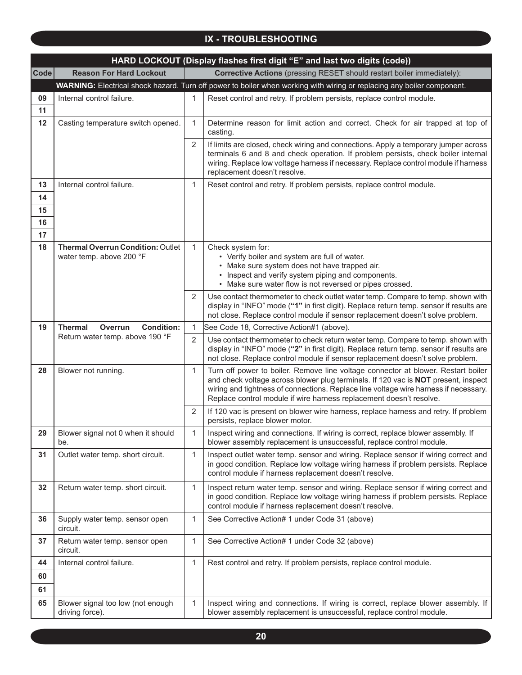|                            | HARD LOCKOUT (Display flashes first digit "E" and last two digits (code)) |   |                                                                                                                                                                                                                                                                                                                                        |  |  |  |
|----------------------------|---------------------------------------------------------------------------|---|----------------------------------------------------------------------------------------------------------------------------------------------------------------------------------------------------------------------------------------------------------------------------------------------------------------------------------------|--|--|--|
| <b>Code</b>                | <b>Reason For Hard Lockout</b>                                            |   | <b>Corrective Actions</b> (pressing RESET should restart boiler immediately):                                                                                                                                                                                                                                                          |  |  |  |
|                            |                                                                           |   | WARNING: Electrical shock hazard. Turn off power to boiler when working with wiring or replacing any boiler component.                                                                                                                                                                                                                 |  |  |  |
| 09<br>11                   | Internal control failure.                                                 | 1 | Reset control and retry. If problem persists, replace control module.                                                                                                                                                                                                                                                                  |  |  |  |
| 12                         | Casting temperature switch opened.                                        | 1 | Determine reason for limit action and correct. Check for air trapped at top of<br>casting.                                                                                                                                                                                                                                             |  |  |  |
|                            |                                                                           | 2 | If limits are closed, check wiring and connections. Apply a temporary jumper across<br>terminals 6 and 8 and check operation. If problem persists, check boiler internal<br>wiring. Replace low voltage harness if necessary. Replace control module if harness<br>replacement doesn't resolve.                                        |  |  |  |
| 13<br>14<br>15<br>16<br>17 | Internal control failure.                                                 | 1 | Reset control and retry. If problem persists, replace control module.                                                                                                                                                                                                                                                                  |  |  |  |
| 18                         | <b>Thermal Overrun Condition: Outlet</b><br>water temp. above 200 °F      | 1 | Check system for:<br>• Verify boiler and system are full of water.<br>• Make sure system does not have trapped air.<br>• Inspect and verify system piping and components.<br>• Make sure water flow is not reversed or pipes crossed.                                                                                                  |  |  |  |
|                            |                                                                           | 2 | Use contact thermometer to check outlet water temp. Compare to temp. shown with<br>display in "INFO" mode ("1" in first digit). Replace return temp. sensor if results are<br>not close. Replace control module if sensor replacement doesn't solve problem.                                                                           |  |  |  |
| 19                         | <b>Thermal</b><br>Overrun<br><b>Condition:</b>                            | 1 | See Code 18, Corrective Action#1 (above).                                                                                                                                                                                                                                                                                              |  |  |  |
|                            | Return water temp. above 190 °F                                           | 2 | Use contact thermometer to check return water temp. Compare to temp. shown with<br>display in "INFO" mode ("2" in first digit). Replace return temp. sensor if results are<br>not close. Replace control module if sensor replacement doesn't solve problem.                                                                           |  |  |  |
| 28                         | Blower not running.                                                       | 1 | Turn off power to boiler. Remove line voltage connector at blower. Restart boiler<br>and check voltage across blower plug terminals. If 120 vac is NOT present, inspect<br>wiring and tightness of connections. Replace line voltage wire harness if necessary.<br>Replace control module if wire harness replacement doesn't resolve. |  |  |  |
|                            |                                                                           | 2 | If 120 vac is present on blower wire harness, replace harness and retry. If problem<br>persists, replace blower motor.                                                                                                                                                                                                                 |  |  |  |
| 29                         | Blower signal not 0 when it should<br>be.                                 | 1 | Inspect wiring and connections. If wiring is correct, replace blower assembly. If<br>blower assembly replacement is unsuccessful, replace control module.                                                                                                                                                                              |  |  |  |
| 31                         | Outlet water temp. short circuit.                                         | 1 | Inspect outlet water temp. sensor and wiring. Replace sensor if wiring correct and<br>in good condition. Replace low voltage wiring harness if problem persists. Replace<br>control module if harness replacement doesn't resolve.                                                                                                     |  |  |  |
| 32                         | Return water temp. short circuit.                                         | 1 | Inspect return water temp. sensor and wiring. Replace sensor if wiring correct and<br>in good condition. Replace low voltage wiring harness if problem persists. Replace<br>control module if harness replacement doesn't resolve.                                                                                                     |  |  |  |
| 36                         | Supply water temp. sensor open<br>circuit.                                | 1 | See Corrective Action# 1 under Code 31 (above)                                                                                                                                                                                                                                                                                         |  |  |  |
| 37                         | Return water temp. sensor open<br>circuit.                                | 1 | See Corrective Action# 1 under Code 32 (above)                                                                                                                                                                                                                                                                                         |  |  |  |
| 44                         | Internal control failure.                                                 | 1 | Rest control and retry. If problem persists, replace control module.                                                                                                                                                                                                                                                                   |  |  |  |
| 60                         |                                                                           |   |                                                                                                                                                                                                                                                                                                                                        |  |  |  |
| 61                         |                                                                           |   |                                                                                                                                                                                                                                                                                                                                        |  |  |  |
| 65                         | Blower signal too low (not enough<br>driving force).                      | 1 | Inspect wiring and connections. If wiring is correct, replace blower assembly. If<br>blower assembly replacement is unsuccessful, replace control module.                                                                                                                                                                              |  |  |  |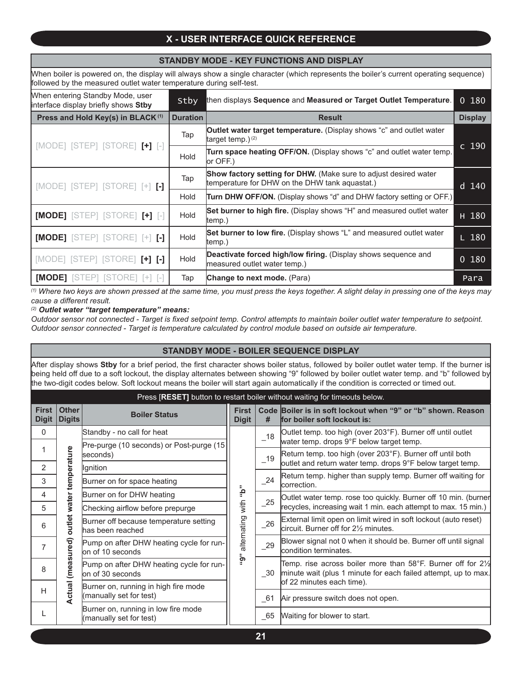# **X - USER INTERFACE QUICK REFERENCE**

#### **STANDBY MODE - KEY FUNCTIONS AND DISPLAY**

When boiler is powered on, the display will always show a single character (which represents the boiler's current operating sequence) followed by the measured outlet water temperature during self-test.

| When entering Standby Mode, user<br>interface display briefly shows Stby | Stby            | then displays Sequence and Measured or Target Outlet Temperature.                                                         | 0180           |
|--------------------------------------------------------------------------|-----------------|---------------------------------------------------------------------------------------------------------------------------|----------------|
| Press and Hold Key(s) in BLACK <sup>(1)</sup>                            | <b>Duration</b> | <b>Result</b>                                                                                                             | <b>Display</b> |
| $[MODE]$ $[STEP]$ $[STORE]$ $[+]$ $[-]$                                  | Tap             | <b>Outlet water target temperature.</b> (Display shows "c" and outlet water<br>target temp.) $(2)$                        | c 190          |
|                                                                          | Hold            | Turn space heating OFF/ON. (Display shows "c" and outlet water temp.<br>lor OFF.)                                         |                |
| $[MODE]$ $[STEP]$ $[STORE]$ $[+]$ $[.]$                                  | Tap             | <b>Show factory setting for DHW.</b> (Make sure to adjust desired water<br>temperature for DHW on the DHW tank aquastat.) | d 140          |
|                                                                          | Hold            | Turn DHW OFF/ON. (Display shows "d" and DHW factory setting or OFF.)                                                      |                |
| [MODE] [STEP] [STORE] [+] [-]                                            | Hold            | Set burner to high fire. (Display shows "H" and measured outlet water<br>(temp.)                                          | H 180          |
| [MODE] [STEP] [STORE] [+] [-]                                            | Hold            | Set burner to low fire. (Display shows "L" and measured outlet water<br>(temp.)                                           | $L$ 180        |
| [MODE] [STEP] [STORE] [+] [-]                                            | Hold            | Deactivate forced high/low firing. (Display shows sequence and<br>measured outlet water temp.)                            | 0180           |
| <b>[MODE]</b> [STEP] [STORE] [+]                                         | Tap             | Change to next mode. (Para)                                                                                               | Para           |

*(1) Where two keys are shown pressed at the same time, you must press the keys together. A slight delay in pressing one of the keys may cause a different result.*

#### *(2) Outlet water "target temperature" means:*

*Outdoor sensor not connected - Target is fixed setpoint temp. Control attempts to maintain boiler outlet water temperature to setpoint. Outdoor sensor connected - Target is temperature calculated by control module based on outside air temperature.*

#### **STANDBY MODE - BOILER SEQUENCE DISPLAY**

After display shows **Stby** for a brief period, the first character shows boiler status, followed by boiler outlet water temp. If the burner is being held off due to a soft lockout, the display alternates between showing "9" followed by boiler outlet water temp. and "b" followed by the two-digit codes below. Soft lockout means the boiler will start again automatically if the condition is corrected or timed out.

#### Press [**RESET]** button to restart boiler without waiting for timeouts below.

| <b>First</b><br><b>Digit</b> | <b>Other</b><br><b>Digits</b> | <b>Boiler Status</b>                                                | <b>First</b><br><b>Digit</b> | #      | Code Boiler is in soft lockout when "9" or "b" shown. Reason<br>for boiler soft lockout is:                                              |  |  |  |    |                                                                                                          |
|------------------------------|-------------------------------|---------------------------------------------------------------------|------------------------------|--------|------------------------------------------------------------------------------------------------------------------------------------------|--|--|--|----|----------------------------------------------------------------------------------------------------------|
| 0                            |                               | Standby - no call for heat                                          |                              | 18     | Outlet temp. too high (over 203°F). Burner off until outlet<br>water temp. drops 9°F below target temp.                                  |  |  |  |    |                                                                                                          |
|                              |                               | Pre-purge (10 seconds) or Post-purge (15)<br>seconds)               |                              | 19     | Return temp. too high (over 203°F). Burner off until both                                                                                |  |  |  |    |                                                                                                          |
| 2                            |                               | Ignition                                                            |                              |        | outlet and return water temp. drops 9°F below target temp.                                                                               |  |  |  |    |                                                                                                          |
| 3                            | temperature                   | Burner on for space heating                                         |                              | $-24$  | Return temp. higher than supply temp. Burner off waiting for<br>lcorrection.                                                             |  |  |  |    |                                                                                                          |
| 4                            |                               | Burner on for DHW heating                                           | "ه                           |        | Outlet water temp. rose too quickly. Burner off 10 min. (burner                                                                          |  |  |  |    |                                                                                                          |
| 5                            | water                         | Checking airflow before prepurge                                    | with                         | 25     | recycles, increasing wait 1 min. each attempt to max. 15 min.)                                                                           |  |  |  |    |                                                                                                          |
| 6                            | outlet                        | Burner off because temperature setting<br>has been reached          | alternating                  |        |                                                                                                                                          |  |  |  | 26 | External limit open on limit wired in soft lockout (auto reset)<br>circuit. Burner off for 21/2 minutes. |
|                              |                               | Pump on after DHW heating cycle for run-<br>lon of 10 seconds       |                              |        |                                                                                                                                          |  |  |  |    |                                                                                                          |
| 8                            | (measured)                    | ۋ°<br>Pump on after DHW heating cycle for run-<br>lon of 30 seconds |                              | $-30$  | Temp. rise across boiler more than 58°F. Burner off for $2\frac{1}{2}$<br>minute wait (plus 1 minute for each failed attempt, up to max. |  |  |  |    |                                                                                                          |
| H                            | ctual                         | Burner on, running in high fire mode                                |                              |        | of 22 minutes each time).                                                                                                                |  |  |  |    |                                                                                                          |
|                              |                               | (manually set for test)                                             |                              | $\_61$ | Air pressure switch does not open.                                                                                                       |  |  |  |    |                                                                                                          |
|                              |                               | Burner on, running in low fire mode<br>(manually set for test)      |                              | $\_65$ | Waiting for blower to start.                                                                                                             |  |  |  |    |                                                                                                          |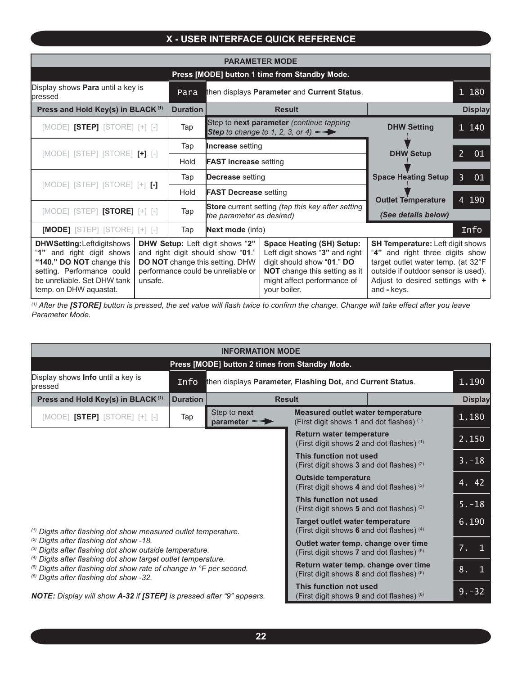# **X - USER INTERFACE QUICK REFERENCE**

| <b>PARAMETER MODE</b>                                                                                                                                                                                                                                                                                                                         |  |                 |                                                                                                                                                                                  |                                                                                                                                                                                                               |                                                  |                      |  |
|-----------------------------------------------------------------------------------------------------------------------------------------------------------------------------------------------------------------------------------------------------------------------------------------------------------------------------------------------|--|-----------------|----------------------------------------------------------------------------------------------------------------------------------------------------------------------------------|---------------------------------------------------------------------------------------------------------------------------------------------------------------------------------------------------------------|--------------------------------------------------|----------------------|--|
| Press [MODE] button 1 time from Standby Mode.                                                                                                                                                                                                                                                                                                 |  |                 |                                                                                                                                                                                  |                                                                                                                                                                                                               |                                                  |                      |  |
| Display shows Para until a key is<br><b>lpressed</b>                                                                                                                                                                                                                                                                                          |  | Para            | then displays Parameter and Current Status.                                                                                                                                      |                                                                                                                                                                                                               |                                                  | 1 180                |  |
| Press and Hold Key(s) in BLACK <sup>(1)</sup>                                                                                                                                                                                                                                                                                                 |  | <b>Duration</b> | <b>Result</b>                                                                                                                                                                    |                                                                                                                                                                                                               | <b>Display</b>                                   |                      |  |
| $[{\sf MODE}]$ $[{\sf STEP}]$ $[{\sf STORE}]$ $[+]$ $[-]$                                                                                                                                                                                                                                                                                     |  | Tap             | Step to next parameter (continue tapping<br>Step to change to 1, 2, 3, or 4) $\blacksquare$                                                                                      |                                                                                                                                                                                                               | <b>DHW Setting</b>                               | 1 140                |  |
|                                                                                                                                                                                                                                                                                                                                               |  | Tap             | <b>Increase</b> setting                                                                                                                                                          |                                                                                                                                                                                                               |                                                  |                      |  |
| [MODE] [STEP] [STORE] [+] [-]                                                                                                                                                                                                                                                                                                                 |  | Hold            | <b>FAST increase setting</b>                                                                                                                                                     |                                                                                                                                                                                                               | <b>DHW Setup</b>                                 | $\overline{2}$<br>01 |  |
| [MODE] [STEP] [STORE] [+] [-]                                                                                                                                                                                                                                                                                                                 |  | Tap             | Decrease setting                                                                                                                                                                 |                                                                                                                                                                                                               | <b>Space Heating Setup</b>                       | $\overline{3}$<br>01 |  |
|                                                                                                                                                                                                                                                                                                                                               |  | Hold            | <b>FAST Decrease setting</b>                                                                                                                                                     |                                                                                                                                                                                                               |                                                  |                      |  |
| $[{\sf MODEL}]$ $[{\sf STEP}]$ $[{\sf STORE}]$ $[+]$ $[.]$                                                                                                                                                                                                                                                                                    |  | Tap             | Store current setting (tap this key after setting<br>the parameter as desired)                                                                                                   |                                                                                                                                                                                                               | <b>Outlet Temperature</b><br>(See details below) | 4 190                |  |
| $[MODE]$ [STEP] [STORE] [+] [-]                                                                                                                                                                                                                                                                                                               |  | Tap             | Next mode (info)                                                                                                                                                                 |                                                                                                                                                                                                               |                                                  | Info                 |  |
| DHW Setup: Left digit shows "2"<br><b>DHWSetting:Leftdigitshows</b><br>"1" and right digit shows<br>and right digit should show "01."<br>"140." DO NOT change this<br>DO NOT change this setting. DHW<br>setting. Performance could<br>performance could be unreliable or<br>be unreliable. Set DHW tank<br>unsafe.<br>temp. on DHW aquastat. |  |                 | <b>Space Heating (SH) Setup:</b><br>Left digit shows "3" and right<br>digit should show "01." DO<br>NOT change this setting as it<br>might affect performance of<br>your boiler. | <b>SH Temperature: Left digit shows</b><br>"4" and right three digits show<br>target outlet water temp. (at 32°F<br>outside if outdoor sensor is used).<br>Adjust to desired settings with $+$<br>and - keys. |                                                  |                      |  |

*(1) After the [STORE] button is pressed, the set value will flash twice to confirm the change. Change will take effect after you leave Parameter Mode.*

| <b>INFORMATION MODE</b>                                                                                                                                                                               |                                                                                  |                                                            |                                                                                       |  |                                 |  |
|-------------------------------------------------------------------------------------------------------------------------------------------------------------------------------------------------------|----------------------------------------------------------------------------------|------------------------------------------------------------|---------------------------------------------------------------------------------------|--|---------------------------------|--|
| Press [MODE] button 2 times from Standby Mode.                                                                                                                                                        |                                                                                  |                                                            |                                                                                       |  |                                 |  |
| Display shows <b>Info</b> until a key is<br>lpressed                                                                                                                                                  | Info                                                                             | then displays Parameter, Flashing Dot, and Current Status. |                                                                                       |  | 1.190                           |  |
| Press and Hold Key(s) in BLACK <sup>(1)</sup>                                                                                                                                                         | <b>Duration</b>                                                                  | <b>Result</b>                                              |                                                                                       |  | <b>Display</b>                  |  |
| $[{\sf MODEL}]$ $[{\sf STEP}]$ $[{\sf STCRE}]$ $[+]$ $[-]$                                                                                                                                            | Tap                                                                              | Step to next<br>parameter was                              | <b>Measured outlet water temperature</b><br>(First digit shows 1 and dot flashes) (1) |  | 1.180                           |  |
|                                                                                                                                                                                                       |                                                                                  |                                                            | <b>Return water temperature</b><br>(First digit shows 2 and dot flashes) (1)          |  | 2.150                           |  |
| <sup>(1)</sup> Digits after flashing dot show measured outlet temperature.                                                                                                                            |                                                                                  |                                                            | This function not used<br>(First digit shows 3 and dot flashes) (2)                   |  | $3. - 18$                       |  |
|                                                                                                                                                                                                       |                                                                                  |                                                            | <b>Outside temperature</b><br>(First digit shows 4 and dot flashes) (3)               |  | $\overline{4.}$ $\overline{42}$ |  |
|                                                                                                                                                                                                       |                                                                                  |                                                            | This function not used<br>(First digit shows 5 and dot flashes) (2)                   |  | $5. - 18$                       |  |
|                                                                                                                                                                                                       |                                                                                  |                                                            | <b>Target outlet water temperature</b><br>(First digit shows 6 and dot flashes) (4)   |  | 6.190                           |  |
| <sup>(2)</sup> Digits after flashing dot show -18.<br>(3) Digits after flashing dot show outside temperature.                                                                                         | Outlet water temp. change over time<br>(First digit shows 7 and dot flashes) (5) |                                                            | 7.<br>$\mathbf{1}$                                                                    |  |                                 |  |
| <sup>(4)</sup> Digits after flashing dot show target outlet temperature.<br>(5) Digits after flashing dot show rate of change in °F per second.<br><sup>(6)</sup> Digits after flashing dot show -32. |                                                                                  |                                                            | Return water temp. change over time<br>(First digit shows 8 and dot flashes) (5)      |  | 8.<br>$\mathbf{1}$              |  |
| NOTE: Display will show A-32 if [STEP] is pressed after "9" appears.                                                                                                                                  |                                                                                  |                                                            | This function not used<br>(First digit shows 9 and dot flashes) (6)                   |  | $9. - 32$                       |  |